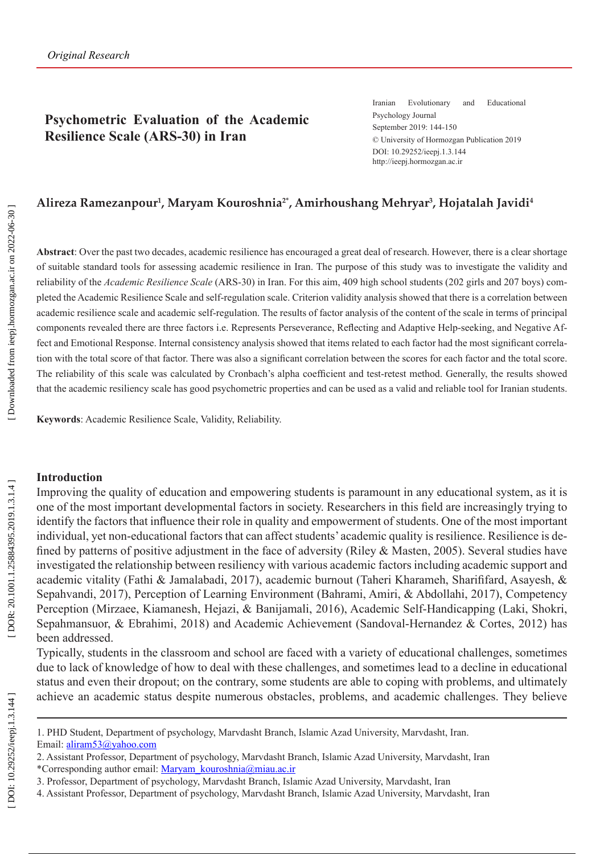## **Psychometric Evaluation of the Academic Resilience Scale (ARS-30) in Iran**

Iranian Evolutionary and Educational Psychology Journal September 2019: 144-150 © University of Hormozgan Publication 2019 DOI: 10.29252/ieepj.1.3.144 http://ieepj.hormozgan.ac.ir

## **Alireza Ramezanpour 1 , Maryam Kouroshnia2\*, Amirhoushang Mehryar 3 , Hojatalah Javidi 4**

**Abstract**: Over the past two decades, academic resilience has encouraged a great deal of research. However, there is a clear shortage of suitable standard tools for assessing academic resilience in Iran. The purpose of this study was to investigate the validity and reliability of the *Academic Resilience Scale* (ARS-30) in Iran. For this aim, 409 high school students (202 girls and 207 boys) com pleted the Academic Resilience Scale and self-regulation scale. Criterion validity analysis showed that there is a correlation between academic resilience scale and academic self-regulation. The results of factor analysis of the content of the scale in terms of principal components revealed there are three factors i.e. Represents Perseverance, Reflecting and Adaptive Help-seeking, and Negative Affect and Emotional Response. Internal consistency analysis showed that items related to each factor had the most significant correlation with the total score of that factor. There was also a significant correlation between the scores for each factor and the total score. The reliability of this scale was calculated by Cronbach's alpha coefficient and test-retest method. Generally, the results showed that the academic resiliency scale has good psychometric properties and can be used as a valid and reliable tool for Iranian students .

**Keywords**: Academic Resilience Scale, Validity, Reliability .

#### **Introduction**

Improving the quality of education and empowering students is paramount in any educational system, as it is one of the most important developmental factors in society. Researchers in this field are increasingly trying to identify the factors that influence their role in quality and empowerment of students. One of the most important individual, yet non-educational factors that can affect students' academic quality is resilience. Resilience is defined by patterns of positive adjustment in the face of adversity (Riley & Masten, 2005). Several studies have investigated the relationship between resiliency with various academic factors including academic support and academic vitality (Fathi & Jamalabadi, 2017), academic burnout (Taheri Kharameh, Sharififard, Asayesh, & Sepahvandi, 2017), Perception of Learning Environment (Bahrami, Amiri, & Abdollahi, 2017), Competency Perception (Mirzaee, Kiamanesh, Hejazi, & Banijamali, 2016), Academic Self-Handicapping (Laki, Shokri, Sepahmansuor, & Ebrahimi, 2018) and Academic Achievement (Sandoval-Hernandez & Cortes, 2012) has been addressed.

Typically, students in the classroom and school are faced with a variety of educational challenges, sometimes due to lack of knowledge of how to deal with these challenges, and sometimes lead to a decline in educational status and even their dropout; on the contrary, some students are able to coping with problems, and ultimately achieve an academic status despite numerous obstacles, problems, and academic challenges. They believe

<sup>1.</sup> PHD Student, Department of psychology, Marvdasht Branch, Islamic Azad University, Marvdasht, Iran. Email: [aliram53@yahoo.com](mailto:aliram53@yahoo.com)

<sup>2.</sup> Assistant Professor, Department of psychology, Marvdasht Branch, Islamic Azad University, Marvdasht, Iran \*Corresponding author email: [Maryam\\_kouroshnia@miau.ac.ir](mailto:Maryam_kouroshnia@miau.ac.ir)

<sup>3.</sup> Professor, Department of psychology, Marvdasht Branch, Islamic Azad University, Marvdasht, Iran

<sup>4.</sup> Assistant Professor, Department of psychology, Marvdasht Branch, Islamic Azad University, Marvdasht, Iran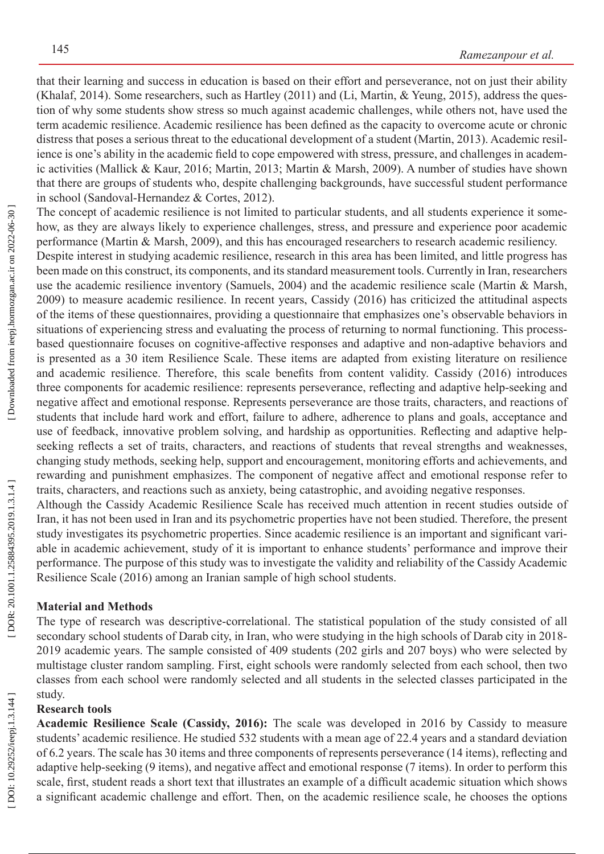that their learning and success in education is based on their effort and perseverance, not on just their ability (Khalaf, 2014). Some researchers, such as Hartley (2011) and (Li, Martin, & Yeung, 2015), address the ques tion of why some students show stress so much against academic challenges, while others not, have used the term academic resilience. Academic resilience has been defined as the capacity to overcome acute or chronic distress that poses a serious threat to the educational development of a student (Martin, 2013). Academic resilience is one's ability in the academic field to cope empowered with stress, pressure, and challenges in academ ic activities (Mallick & Kaur, 2016; Martin, 2013; Martin & Marsh, 2009). A number of studies have shown that there are groups of students who, despite challenging backgrounds, have successful student performance in school (Sandoval-Hernandez & Cortes, 2012).

The concept of academic resilience is not limited to particular students, and all students experience it somehow, as they are always likely to experience challenges, stress, and pressure and experience poor academic performance (Martin & Marsh, 2009), and this has encouraged researchers to research academic resiliency .

Despite interest in studying academic resilience, research in this area has been limited, and little progress has been made on this construct, its components, and its standard measurement tools. Currently in Iran, researchers use the academic resilience inventory (Samuels, 2004) and the academic resilience scale (Martin & Marsh, 2009) to measure academic resilience. In recent years, Cassidy (2016) has criticized the attitudinal aspects of the items of these questionnaires, providing a questionnaire that emphasizes one's observable behaviors in situations of experiencing stress and evaluating the process of returning to normal functioning. This processbased questionnaire focuses on cognitive-affective responses and adaptive and non-adaptive behaviors and is presented as a 30 item Resilience Scale. These items are adapted from existing literature on resilience and academic resilience. Therefore, this scale benefits from content validity. Cassidy (2016) introduces three components for academic resilience: represents perseverance, reflecting and adaptive help-seeking and negative affect and emotional response . Represents perseverance are those traits, characters, and reactions of students that include hard work and effort, failure to adhere, adherence to plans and goals, acceptance and use of feedback, innovative problem solving, and hardship as opportunities. Reflecting and adaptive helpseeking reflects a set of traits, characters, and reactions of students that reveal strengths and weaknesses, changing study methods, seeking help, support and encouragement, monitoring efforts and achievements, and rewarding and punishment emphasizes. The component of negative affect and emotional response refer to traits, characters, and reactions such as anxiety, being catastrophic, and avoiding negative responses.

Although the Cassidy Academic Resilience Scale has received much attention in recent studies outside of Iran, it has not been used in Iran and its psychometric properties have not been studied. Therefore, the present study investigates its psychometric properties. Since academic resilience is an important and significant vari able in academic achievement, study of it is important to enhance students' performance and improve their performance. The purpose of this study was to investigate the validity and reliability of the Cassidy Academic Resilience Scale (2016) among an Iranian sample of high school students.

### **Material and Methods**

The type of research was descriptive-correlational. The statistical population of the study consisted of all secondary school students of Darab city, in Iran, who were studying in the high schools of Darab city in 2018- 2019 academic years. The sample consisted of 409 students (202 girls and 207 boys) who were selected by multistage cluster random sampling. First, eight schools were randomly selected from each school, then two classes from each school were randomly selected and all students in the selected classes participated in the study.

### **Research tools**

**Academic Resilience Scale (Cassidy, 2016):** The scale was developed in 2016 by Cassidy to measure students' academic resilience. He studied 532 students with a mean age of 22.4 years and a standard deviation of 6.2 years. The scale has 30 items and three components of represents perseverance (14 items), reflecting and adaptive help-seeking (9 items), and negative affect and emotional response (7 items). In order to perform this scale, first, student reads a short text that illustrates an example of a difficult academic situation which shows a significant academic challenge and effort. Then, on the academic resilience scale, he chooses the options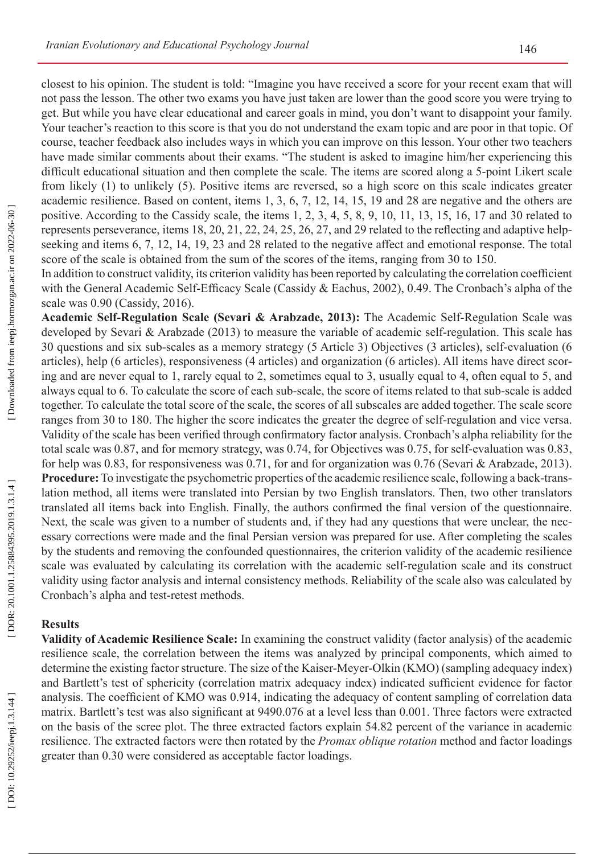closest to his opinion. The student is told: "Imagine you have received a score for your recent exam that will not pass the lesson. The other two exams you have just taken are lower than the good score you were trying to get. But while you have clear educational and career goals in mind, you don't want to disappoint your family. Your teacher's reaction to this score is that you do not understand the exam topic and are poor in that topic. Of course, teacher feedback also includes ways in which you can improve on this lesson. Your other two teachers have made similar comments about their exams. "The student is asked to imagine him/her experiencing this difficult educational situation and then complete the scale. The items are scored along a 5-point Likert scale from likely (1) to unlikely (5). Positive items are reversed, so a high score on this scale indicates greater academic resilience. Based on content, items 1, 3, 6, 7, 12, 14, 15, 19 and 28 are negative and the others are positive. According to the Cassidy scale, the items 1, 2, 3, 4, 5, 8, 9, 10, 11, 13, 15, 16, 17 and 30 related to represents perseverance, items 18, 20, 21, 22, 24, 25, 26, 27, and 29 related to the reflecting and adaptive helpseeking and items 6, 7, 12, 14, 19, 23 and 28 related to the negative affect and emotional response. The total score of the scale is obtained from the sum of the scores of the items, ranging from 30 to 150.

In addition to construct validity, its criterion validity has been reported by calculating the correlation coefficient with the General Academic Self-Efficacy Scale (Cassidy & Eachus, 2002), 0.49. The Cronbach's alpha of the scale was 0.90 (Cassidy, 2016).

**Academic Self-Regulation Scale (Sevari & Arabzade, 2013):** The Academic Self-Regulation Scale was developed by Sevari & Arabzade (2013) to measure the variable of academic self-regulation. This scale has 30 questions and six sub-scales as a memory strategy (5 Article 3) Objectives (3 articles), self-evaluation (6 articles), help (6 articles), responsiveness (4 articles) and organization (6 articles). All items have direct scor ing and are never equal to 1, rarely equal to 2, sometimes equal to 3, usually equal to 4, often equal to 5, and always equal to 6. To calculate the score of each sub-scale, the score of items related to that sub-scale is added together. To calculate the total score of the scale, the scores of all subscales are added together. The scale score ranges from 30 to 180. The higher the score indicates the greater the degree of self-regulation and vice versa. Validity of the scale has been verified through confirmatory factor analysis. Cronbach's alpha reliability for the total scale was 0.87, and for memory strategy, was 0.74, for Objectives was 0.75, for self-evaluation was 0.83, for help was 0.83, for responsiveness was 0.71, for and for organization was 0.76 (Sevari & Arabzade, 2013). Procedure: To investigate the psychometric properties of the academic resilience scale, following a back-translation method, all items were translated into Persian by two English translators. Then, two other translators translated all items back into English. Finally, the authors confirmed the final version of the questionnaire. Next, the scale was given to a number of students and, if they had any questions that were unclear, the necessary corrections were made and the final Persian version was prepared for use. After completing the scales by the students and removing the confounded questionnaires, the criterion validity of the academic resilience scale was evaluated by calculating its correlation with the academic self-regulation scale and its construct validity using factor analysis and internal consistency methods. Reliability of the scale also was calculated by Cronbach's alpha and test-retest methods.

### **Results**

**Validity of Academic Resilience Scale:** In examining the construct validity (factor analysis) of the academic resilience scale, the correlation between the items was analyzed by principal components, which aimed to determine the existing factor structure. The size of the Kaiser-Meyer-Olkin (KMO) (sampling adequacy index) and Bartlett's test of sphericity (correlation matrix adequacy index) indicated sufficient evidence for factor analysis. The coefficient of KMO was 0.914, indicating the adequacy of content sampling of correlation data matrix. Bartlett's test was also significant at 9490.076 at a level less than 0.001. Three factors were extracted on the basis of the scree plot. The three extracted factors explain 54.82 percent of the variance in academic resilience. The extracted factors were then rotated by the *Promax oblique rotation* method and factor loadings greater than 0.30 were considered as acceptable factor loadings.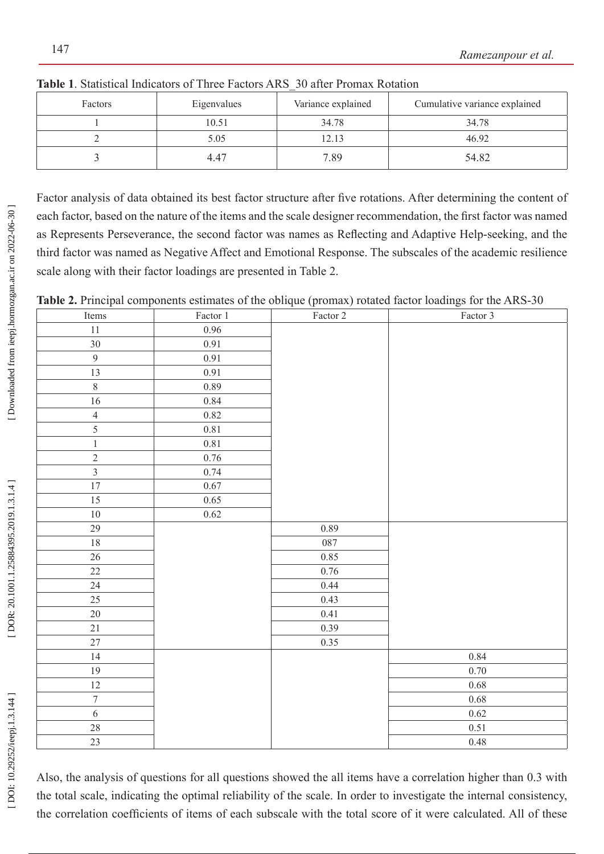| Factors | Eigenvalues | Variance explained | Cumulative variance explained |
|---------|-------------|--------------------|-------------------------------|
|         | 10.51       | 34.78              | 34.78                         |
|         | 5.05        | 12.13              | 46.92                         |
|         | 4.47        | 7.89               | 54.82                         |

**Table 1**. Statistical Indicators of Three Factors ARS\_30 after Promax Rotation

Factor analysis of data obtained its best factor structure after five rotations. After determining the content of each factor, based on the nature of the items and the scale designer recommendation, the first factor was named as Represents Perseverance, the second factor was names as Reflecting and Adaptive Help-seeking, and the third factor was named as Negative Affect and Emotional Response. The subscales of the academic resilience scale along with their factor loadings are presented in Table 2.

**Table 2.** Principal components estimates of the oblique (promax) rotated factor loadings for the ARS-30

| $\mathbf{r}$<br>$\mathbf{r}$<br>Items | Factor 1 | $\mathbf{I}$<br>$\frac{4}{2}$ Factor 2 | $\overline{\phantom{a}}$<br>Factor 3 |
|---------------------------------------|----------|----------------------------------------|--------------------------------------|
| $11\,$                                | 0.96     |                                        |                                      |
| $30\,$                                | 0.91     |                                        |                                      |
| $\overline{9}$                        | $0.91\,$ |                                        |                                      |
| $\overline{13}$                       | 0.91     |                                        |                                      |
| $\overline{8}$                        | 0.89     |                                        |                                      |
| $16\,$                                | $0.84\,$ |                                        |                                      |
| $\overline{4}$                        | $0.82\,$ |                                        |                                      |
| $\overline{5}$                        | $0.81\,$ |                                        |                                      |
| $\,1$                                 | $0.81\,$ |                                        |                                      |
| $\overline{2}$                        | $0.76\,$ |                                        |                                      |
|                                       | 0.74     |                                        |                                      |
| $\overline{17}$                       | 0.67     |                                        |                                      |
| 15                                    | 0.65     |                                        |                                      |
| $10\,$                                | 0.62     |                                        |                                      |
| $29\,$                                |          | 0.89                                   |                                      |
| $18\,$                                |          | 087                                    |                                      |
| 26                                    |          | 0.85                                   |                                      |
| $22\,$                                |          | 0.76                                   |                                      |
| $24\,$                                |          | 0.44                                   |                                      |
| 25                                    |          | 0.43                                   |                                      |
| $20\,$                                |          | 0.41                                   |                                      |
| $21\,$                                |          | 0.39                                   |                                      |
| $27\,$                                |          | 0.35                                   |                                      |
| 14                                    |          |                                        | 0.84                                 |
| 19                                    |          |                                        | 0.70                                 |
| $12\,$                                |          |                                        | $0.68\,$                             |
| $\overline{7}$                        |          |                                        | 0.68                                 |
| $\overline{6}$                        |          |                                        | 0.62                                 |
| $28\,$                                |          |                                        | 0.51                                 |
| 23                                    |          |                                        | $0.48\,$                             |

Also, the analysis of questions for all questions showed the all items have a correlation higher than 0.3 with the total scale, indicating the optimal reliability of the scale. In order to investigate the internal consistency, the correlation coefficients of items of each subscale with the total score of it were calculated. All of these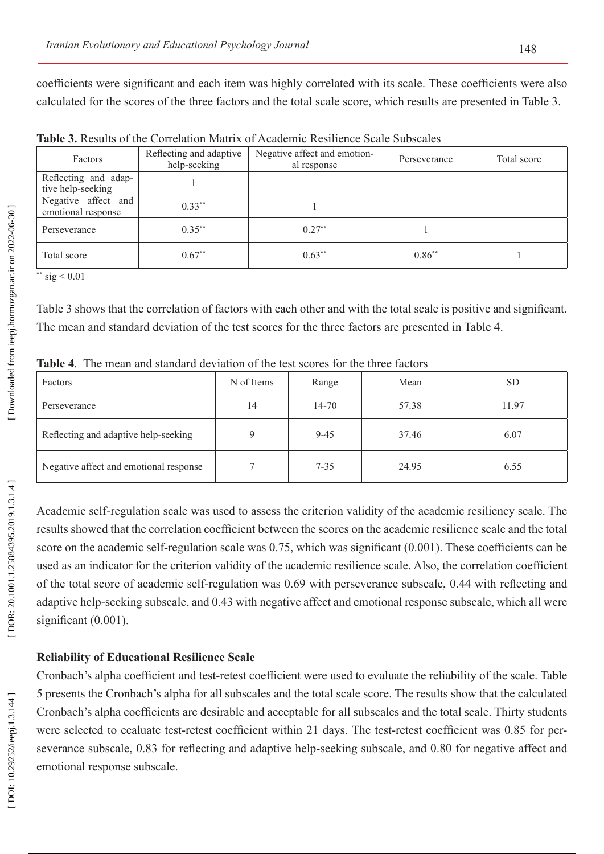coefficients were significant and each item was highly correlated with its scale. These coefficients were also calculated for the scores of the three factors and the total scale score, which results are presented in Table 3.

|                                     | <b>Table 3.</b> Results of the Correlation Matrix of Academic Resilience Scale Subscales |  |
|-------------------------------------|------------------------------------------------------------------------------------------|--|
| الجامعة المجانبة المتحالية المتحالة |                                                                                          |  |

| Factors                                   | Reflecting and adaptive<br>help-seeking | Negative affect and emotion-<br>al response | Perseverance | Total score |
|-------------------------------------------|-----------------------------------------|---------------------------------------------|--------------|-------------|
| Reflecting and adap-<br>tive help-seeking |                                         |                                             |              |             |
| Negative affect and<br>emotional response | $0.33***$                               |                                             |              |             |
| Perseverance                              | $0.35***$                               | $0.27**$                                    |              |             |
| Total score                               | $0.67**$                                | $0.63***$                                   | $0.86**$     |             |

\*\* sig  $< 0.01$ 

Table 3 shows that the correlation of factors with each other and with the total scale is positive and significant. The mean and standard deviation of the test scores for the three factors are presented in Table 4.

| <b>Table 4.</b> The mean and standard deviation of the test scores for the three factors |  |  |
|------------------------------------------------------------------------------------------|--|--|
|                                                                                          |  |  |

| Factors                                | N of Items  | Range    | Mean  | <b>SD</b> |
|----------------------------------------|-------------|----------|-------|-----------|
| Perseverance                           | 14          | 14-70    | 57.38 | 11.97     |
| Reflecting and adaptive help-seeking   | $\mathbf Q$ | $9 - 45$ | 37.46 | 6.07      |
| Negative affect and emotional response |             | $7 - 35$ | 24.95 | 6.55      |

Academic self-regulation scale was used to assess the criterion validity of the academic resiliency scale. The results showed that the correlation coefficient between the scores on the academic resilience scale and the total score on the academic self-regulation scale was 0.75, which was significant (0.001). These coefficients can be used as an indicator for the criterion validity of the academic resilience scale. Also, the correlation coefficient of the total score of academic self-regulation was 0.69 with perseverance subscale, 0.44 with reflecting and adaptive help-seeking subscale, and 0.43 with negative affect and emotional response subscale, which all were significant (0.001).

# **Reliability of Educational Resilience Scale**

Cronbach's alpha coefficient and test-retest coefficient were used to evaluate the reliability of the scale. Table 5 presents the Cronbach's alpha for all subscales and the total scale score. The results show that the calculated Cronbach's alpha coefficients are desirable and acceptable for all subscales and the total scale. Thirty students were selected to ecaluate test-retest coefficient within 21 days. The test-retest coefficient was 0.85 for per severance subscale, 0.83 for reflecting and adaptive help-seeking subscale, and 0.80 for negative affect and emotional response subscale.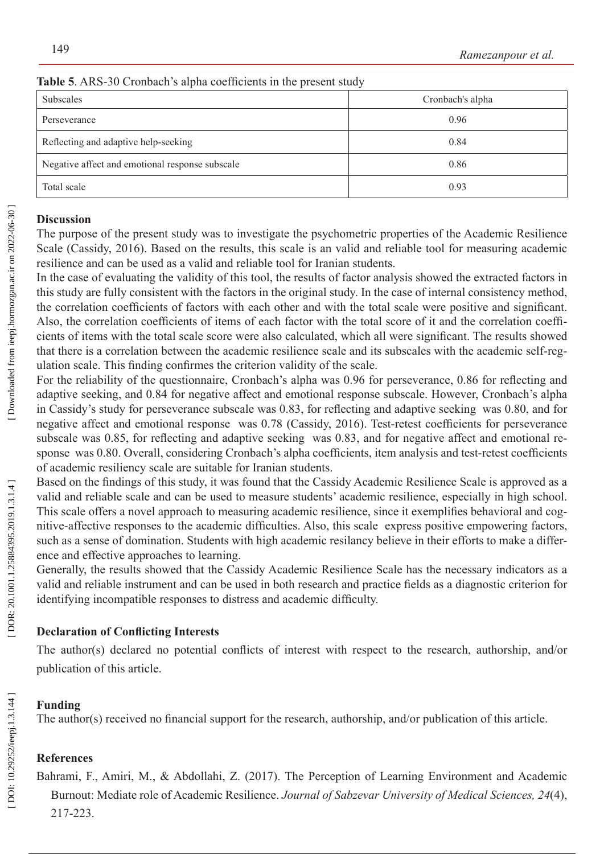| <b>Subscales</b>                                | Cronbach's alpha |  |
|-------------------------------------------------|------------------|--|
| Perseverance                                    | 0.96             |  |
| Reflecting and adaptive help-seeking            | 0.84             |  |
| Negative affect and emotional response subscale | 0.86             |  |
| Total scale                                     | 0.93             |  |

### **Table 5**. ARS-30 Cronbach's alpha coefficients in the present study

### **Discussion**

The purpose of the present study was to investigate the psychometric properties of the Academic Resilience Scale (Cassidy, 2016). Based on the results, this scale is an valid and reliable tool for measuring academic resilience and can be used as a valid and reliable tool for Iranian students.

In the case of evaluating the validity of this tool, the results of factor analysis showed the extracted factors in this study are fully consistent with the factors in the original study. In the case of internal consistency method, the correlation coefficients of factors with each other and with the total scale were positive and significant. Also, the correlation coefficients of items of each factor with the total score of it and the correlation coeffi cients of items with the total scale score were also calculated, which all were significant. The results showed that there is a correlation between the academic resilience scale and its subscales with the academic self-reg ulation scale. This finding confirmes the criterion validity of the scale.

For the reliability of the questionnaire, Cronbach's alpha was 0.96 for perseverance, 0.86 for reflecting and adaptive seeking, and 0.84 for negative affect and emotional response subscale. However, Cronbach's alpha in Cassidy's study for perseverance subscale was 0.83, for reflecting and adaptive seeking was 0.80, and for negative affect and emotional response was 0.78 (Cassidy, 2016). Test-retest coefficients for perseverance subscale was 0.85, for reflecting and adaptive seeking was 0.83, and for negative affect and emotional response was 0.80. Overall, considering Cronbach's alpha coefficients, item analysis and test-retest coefficients of academic resiliency scale are suitable for Iranian students.

Based on the findings of this study, it was found that the Cassidy Academic Resilience Scale is approved as a valid and reliable scale and can be used to measure students' academic resilience, especially in high school. This scale offers a novel approach to measuring academic resilience, since it exemplifies behavioral and cog nitive-affective responses to the academic difficulties. Also, this scale express positive empowering factors, such as a sense of domination. Students with high academic resilancy believe in their efforts to make a differ ence and effective approaches to learning.

Generally, the results showed that the Cassidy Academic Resilience Scale has the necessary indicators as a valid and reliable instrument and can be used in both research and practice fields as a diagnostic criterion for identifying incompatible responses to distress and academic difficulty .

## **Declaration of Conflicting Interests**

The author(s) declared no potential conflicts of interest with respect to the research, authorship, and/or publication of this article.

## **Funding**

The author(s) received no financial support for the research, authorship, and/or publication of this article.

## **References**

Bahrami, F., Amiri, M., & Abdollahi, Z. (2017). The Perception of Learning Environment and Academic Burnout: Mediate role of Academic Resilience. *Journal of Sabzevar University of Medical Sciences, 24*(4), 217-223.